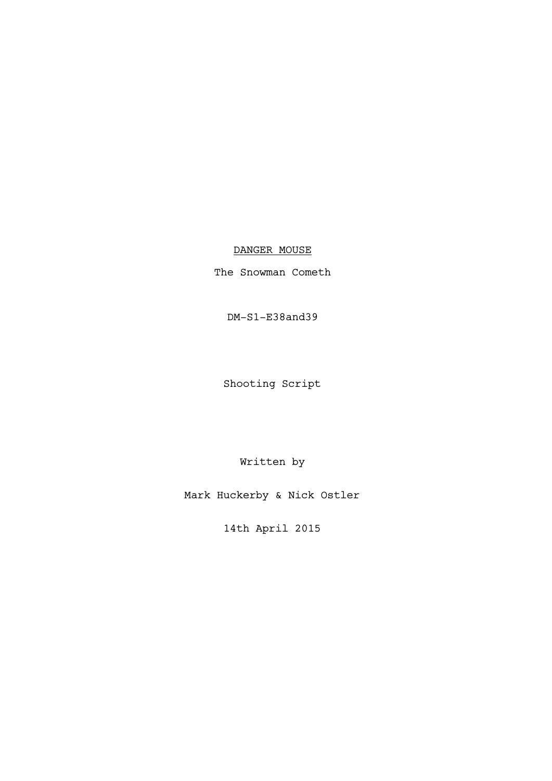# DANGER MOUSE

The Snowman Cometh

DM-S1-E38and39

Shooting Script

Written by

Mark Huckerby & Nick Ostler

14th April 2015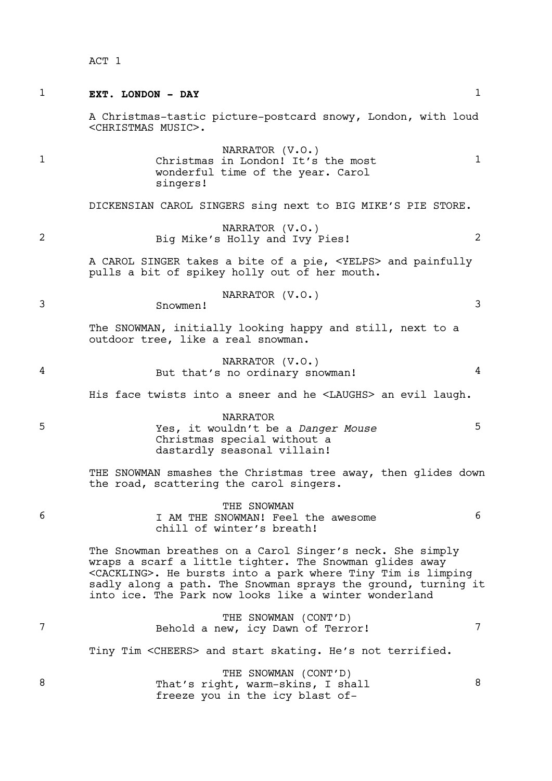| 1 | EXT. LONDON - DAY                                                                                                                                                                                                                                                                                                          | $\mathbf{1}$ |
|---|----------------------------------------------------------------------------------------------------------------------------------------------------------------------------------------------------------------------------------------------------------------------------------------------------------------------------|--------------|
|   | A Christmas-tastic picture-postcard snowy, London, with loud<br><christmas music="">.</christmas>                                                                                                                                                                                                                          |              |
| 1 | NARRATOR (V.O.)<br>Christmas in London! It's the most<br>wonderful time of the year. Carol<br>singers!                                                                                                                                                                                                                     | $\mathbf{1}$ |
|   | DICKENSIAN CAROL SINGERS sing next to BIG MIKE'S PIE STORE.                                                                                                                                                                                                                                                                |              |
| 2 | NARRATOR (V.O.)<br>Big Mike's Holly and Ivy Pies!                                                                                                                                                                                                                                                                          | 2            |
|   | A CAROL SINGER takes a bite of a pie, <yelps> and painfully<br/>pulls a bit of spikey holly out of her mouth.</yelps>                                                                                                                                                                                                      |              |
| 3 | NARRATOR (V.O.)<br>Snowmen!                                                                                                                                                                                                                                                                                                | 3            |
|   | The SNOWMAN, initially looking happy and still, next to a<br>outdoor tree, like a real snowman.                                                                                                                                                                                                                            |              |
| 4 | NARRATOR (V.O.)<br>But that's no ordinary snowman!                                                                                                                                                                                                                                                                         | 4            |
|   | His face twists into a sneer and he <laughs> an evil laugh.</laughs>                                                                                                                                                                                                                                                       |              |
| 5 | <b>NARRATOR</b><br>Yes, it wouldn't be a Danger Mouse<br>Christmas special without a<br>dastardly seasonal villain!                                                                                                                                                                                                        | 5            |
|   | THE SNOWMAN smashes the Christmas tree away, then glides down<br>the road, scattering the carol singers.                                                                                                                                                                                                                   |              |
| 6 | THE SNOWMAN<br>I AM THE SNOWMAN! Feel the awesome<br>chill of winter's breath!                                                                                                                                                                                                                                             | 6            |
|   | The Snowman breathes on a Carol Singer's neck. She simply<br>wraps a scarf a little tighter. The Snowman glides away<br><cackling>. He bursts into a park where Tiny Tim is limping<br/>sadly along a path. The Snowman sprays the ground, turning it<br/>into ice. The Park now looks like a winter wonderland</cackling> |              |
| 7 | THE SNOWMAN (CONT'D)<br>Behold a new, icy Dawn of Terror!                                                                                                                                                                                                                                                                  | 7            |
|   | Tiny Tim <cheers> and start skating. He's not terrified.</cheers>                                                                                                                                                                                                                                                          |              |
| 8 | THE SNOWMAN (CONT'D)<br>That's right, warm-skins, I shall<br>freeze you in the icy blast of-                                                                                                                                                                                                                               | 8            |
|   |                                                                                                                                                                                                                                                                                                                            |              |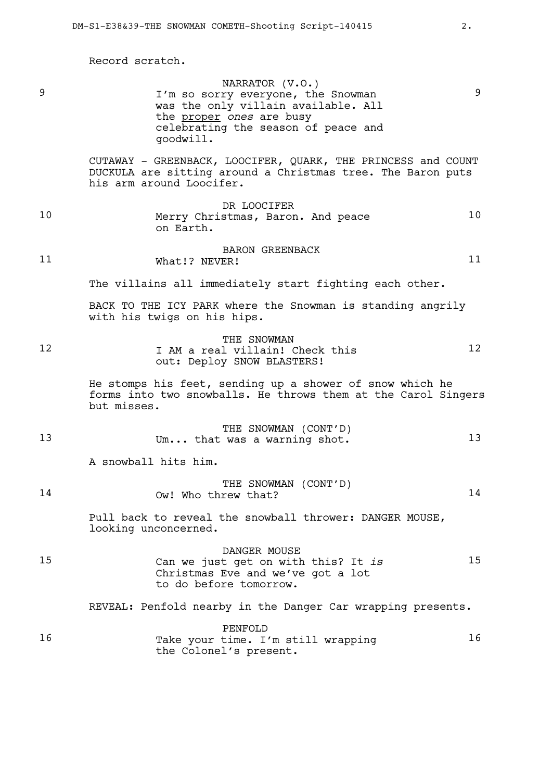Record scratch.

| 9  | NARRATOR (V.O.)<br>I'm so sorry everyone, the Snowman<br>was the only villain available. All<br>the proper ones are busy<br>celebrating the season of peace and<br>goodwill. | 9       |
|----|------------------------------------------------------------------------------------------------------------------------------------------------------------------------------|---------|
|    | CUTAWAY - GREENBACK, LOOCIFER, QUARK, THE PRINCESS and COUNT<br>DUCKULA are sitting around a Christmas tree. The Baron puts<br>his arm around Loocifer.                      |         |
| 10 | DR LOOCIFER<br>Merry Christmas, Baron. And peace<br>on Earth.                                                                                                                | 10      |
| 11 | <b>BARON GREENBACK</b><br>What!? NEVER!                                                                                                                                      | 11      |
|    | The villains all immediately start fighting each other.                                                                                                                      |         |
|    | BACK TO THE ICY PARK where the Snowman is standing angrily<br>with his twigs on his hips.                                                                                    |         |
| 12 | THE SNOWMAN<br>I AM a real villain! Check this<br>out: Deploy SNOW BLASTERS!                                                                                                 | $12 \,$ |
|    | He stomps his feet, sending up a shower of snow which he<br>forms into two snowballs. He throws them at the Carol Singers<br>but misses.                                     |         |
| 13 | THE SNOWMAN (CONT'D)<br>Um that was a warning shot.                                                                                                                          | 13      |
|    | A snowball hits him.                                                                                                                                                         |         |
| 14 | THE SNOWMAN (CONT'D)<br>Ow! Who threw that?                                                                                                                                  | 14      |
|    | Pull back to reveal the snowball thrower: DANGER MOUSE,<br>looking unconcerned.                                                                                              |         |
| 15 | DANGER MOUSE<br>Can we just get on with this? It is<br>Christmas Eve and we've got a lot<br>to do before tomorrow.                                                           | 15      |
|    | REVEAL: Penfold nearby in the Danger Car wrapping presents.                                                                                                                  |         |
| 16 | PENFOLD<br>Take your time. I'm still wrapping<br>the Colonel's present.                                                                                                      | 16      |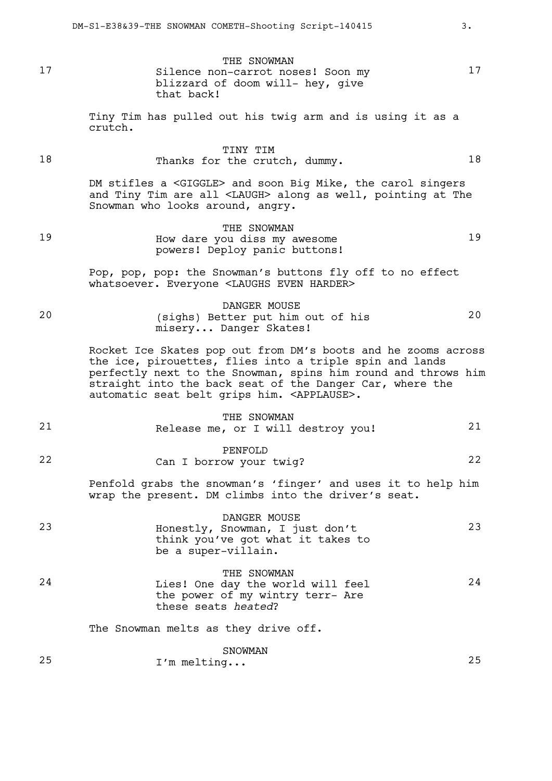THE SNOWMAN 17 Silence non-carrot noses! Soon my 17 blizzard of doom will- hey, give that back!

> Tiny Tim has pulled out his twig arm and is using it as a crutch.

#### TINY TIM 18 Thanks for the crutch, dummy. 18

DM stifles a <GIGGLE> and soon Big Mike, the carol singers and Tiny Tim are all <LAUGH> along as well, pointing at The Snowman who looks around, angry.

THE SNOWMAN 19 How dare you diss my awesome 19 powers! Deploy panic buttons!

> Pop, pop, pop: the Snowman's buttons fly off to no effect whatsoever. Everyone <LAUGHS EVEN HARDER>

DANGER MOUSE 20 (sighs) Better put him out of his 20 misery... Danger Skates!

> Rocket Ice Skates pop out from DM's boots and he zooms across the ice, pirouettes, flies into a triple spin and lands perfectly next to the Snowman, spins him round and throws him straight into the back seat of the Danger Car, where the automatic seat belt grips him. <APPLAUSE>.

# THE SNOWMAN 21 Release me, or I will destroy you! 21 PENFOLD 22 Can I borrow your twig? 22 Penfold grabs the snowman's 'finger' and uses it to help him wrap the present. DM climbs into the driver's seat. DANGER MOUSE 23 Honestly, Snowman, I just don't 23 think you've got what it takes to be a super-villain. THE SNOWMAN 24 Lies! One day the world will feel 24 the power of my wintry terr- Are these seats *heated*? The Snowman melts as they drive off. SNOWMAN

25 I'm melting... 25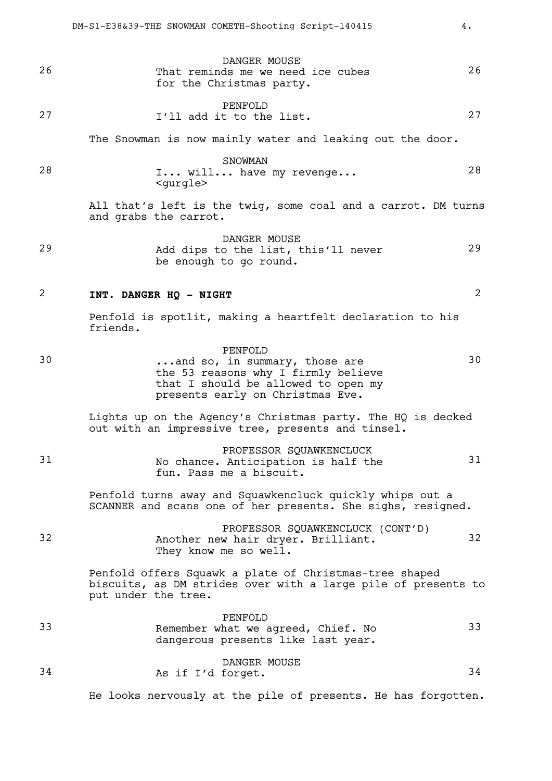| 26 | DANGER MOUSE<br>That reminds me we need ice cubes<br>for the Christmas party.                                                                              | 26 |
|----|------------------------------------------------------------------------------------------------------------------------------------------------------------|----|
| 27 | PENFOLD<br>I'll add it to the list.                                                                                                                        | 27 |
|    | The Snowman is now mainly water and leaking out the door.                                                                                                  |    |
| 28 | SNOWMAN<br>I will have my revenge<br><gurgle></gurgle>                                                                                                     | 28 |
|    | All that's left is the twig, some coal and a carrot. DM turns<br>and grabs the carrot.                                                                     |    |
| 29 | DANGER MOUSE<br>Add dips to the list, this'll never<br>be enough to go round.                                                                              | 29 |
| 2  | INT. DANGER HQ - NIGHT                                                                                                                                     | 2  |
|    | Penfold is spotlit, making a heartfelt declaration to his<br>friends.                                                                                      |    |
| 30 | PENFOLD<br>and so, in summary, those are<br>the 53 reasons why I firmly believe<br>that I should be allowed to open my<br>presents early on Christmas Eve. | 30 |
|    | Lights up on the Agency's Christmas party. The HQ is decked<br>out with an impressive tree, presents and tinsel.                                           |    |
| 31 | PROFESSOR SQUAWKENCLUCK<br>No chance. Anticipation is half the<br>fun. Pass me a biscuit.                                                                  | 31 |
|    | Penfold turns away and Squawkencluck quickly whips out a<br>SCANNER and scans one of her presents. She sighs, resigned.                                    |    |
| 32 | PROFESSOR SQUAWKENCLUCK (CONT'D)<br>Another new hair dryer. Brilliant.<br>They know me so well.                                                            | 32 |
|    | Penfold offers Squawk a plate of Christmas-tree shaped<br>biscuits, as DM strides over with a large pile of presents to<br>put under the tree.             |    |
| 33 | PENFOLD<br>Remember what we agreed, Chief. No<br>dangerous presents like last year.                                                                        | 33 |
| 34 | DANGER MOUSE<br>As if I'd forget.                                                                                                                          | 34 |

He looks nervously at the pile of presents. He has forgotten.

DM-S1-E38&39-THE SNOWMAN COMETH-Shooting Script-140415 4.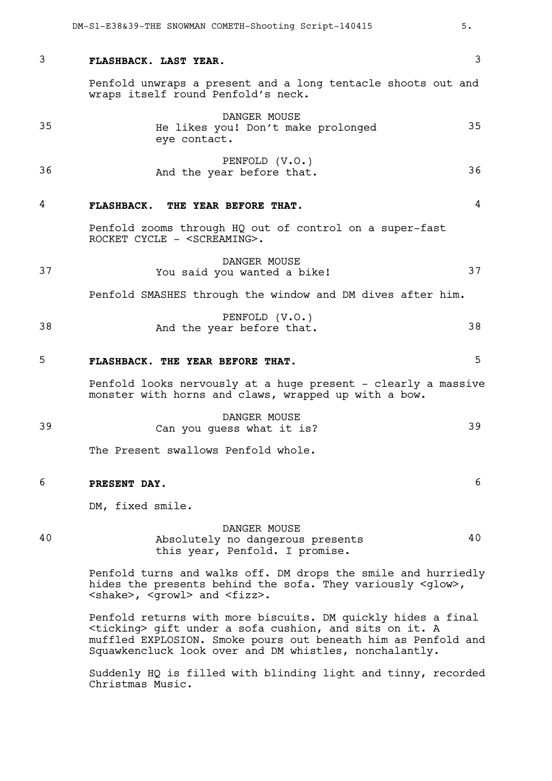| 3  | 3<br>FLASHBACK. LAST YEAR.                                                                                                                                                                                                                                    |  |
|----|---------------------------------------------------------------------------------------------------------------------------------------------------------------------------------------------------------------------------------------------------------------|--|
|    | Penfold unwraps a present and a long tentacle shoots out and<br>wraps itself round Penfold's neck.                                                                                                                                                            |  |
| 35 | DANGER MOUSE<br>35<br>He likes you! Don't make prolonged<br>eye contact.                                                                                                                                                                                      |  |
| 36 | PENFOLD (V.O.)<br>36<br>And the year before that.                                                                                                                                                                                                             |  |
| 4  | 4<br>FLASHBACK. THE YEAR BEFORE THAT.                                                                                                                                                                                                                         |  |
|    | Penfold zooms through HQ out of control on a super-fast<br>ROCKET CYCLE - <screaming>.</screaming>                                                                                                                                                            |  |
| 37 | DANGER MOUSE<br>37<br>You said you wanted a bike!                                                                                                                                                                                                             |  |
|    | Penfold SMASHES through the window and DM dives after him.                                                                                                                                                                                                    |  |
| 38 | PENFOLD (V.O.)<br>38<br>And the year before that.                                                                                                                                                                                                             |  |
| 5  | 5<br>FLASHBACK. THE YEAR BEFORE THAT.                                                                                                                                                                                                                         |  |
|    | Penfold looks nervously at a huge present - clearly a massive<br>monster with horns and claws, wrapped up with a bow.                                                                                                                                         |  |
| 39 | DANGER MOUSE<br>39<br>Can you guess what it is?                                                                                                                                                                                                               |  |
|    | The Present swallows Penfold whole.                                                                                                                                                                                                                           |  |
| 6  | 6<br>PRESENT DAY.                                                                                                                                                                                                                                             |  |
|    | DM, fixed smile.                                                                                                                                                                                                                                              |  |
| 40 | DANGER MOUSE<br>40<br>Absolutely no dangerous presents<br>this year, Penfold. I promise.                                                                                                                                                                      |  |
|    | Penfold turns and walks off. DM drops the smile and hurriedly<br>hides the presents behind the sofa. They variously <glow>,<br/><shake>, <growl> and <fizz>.</fizz></growl></shake></glow>                                                                    |  |
|    | Penfold returns with more biscuits. DM quickly hides a final<br><ticking> gift under a sofa cushion, and sits on it. A<br/>muffled EXPLOSION. Smoke pours out beneath him as Penfold and<br/>Squawkencluck look over and DM whistles, nonchalantly.</ticking> |  |
|    | Suddenly HQ is filled with blinding light and tinny, recorded<br>Christmas Music.                                                                                                                                                                             |  |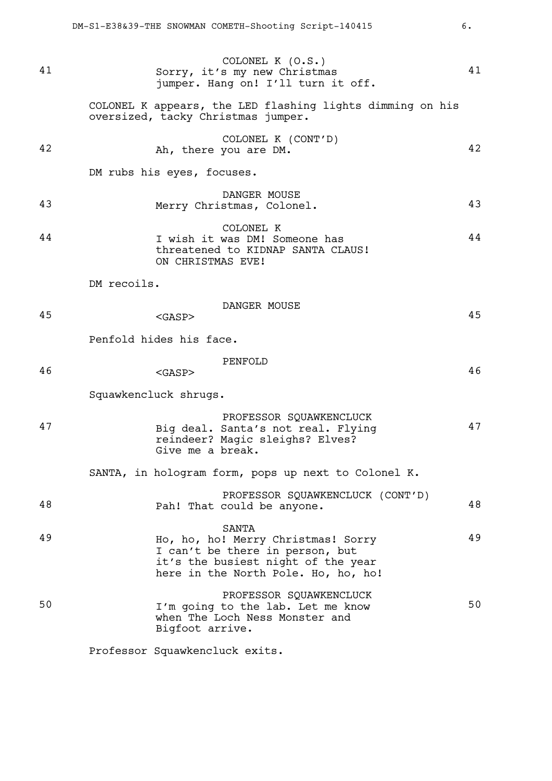COLONEL K (O.S.) 41 Sorry, it's my new Christmas 41 jumper. Hang on! I'll turn it off. COLONEL K appears, the LED flashing lights dimming on his oversized, tacky Christmas jumper. COLONEL K (CONT'D) 42 Ah, there you are DM. 42 DM rubs his eyes, focuses. DANGER MOUSE 43 Merry Christmas, Colonel. 43 COLONEL K 44 I wish it was DM! Someone has 44 threatened to KIDNAP SANTA CLAUS! ON CHRISTMAS EVE! DM recoils. DANGER MOUSE 45 <GASP> 45 Penfold hides his face. PENFOLD  $46$   $<sub>GASP</sub> > 46$ </sub> Squawkencluck shrugs. PROFESSOR SQUAWKENCLUCK 47 Big deal. Santa's not real. Flying 47 reindeer? Magic sleighs? Elves? Give me a break. SANTA, in hologram form, pops up next to Colonel K. PROFESSOR SQUAWKENCLUCK (CONT'D) 48 Pah! That could be anyone. SANTA 49 Ho, ho, ho! Merry Christmas! Sorry 49 I can't be there in person, but it's the busiest night of the year here in the North Pole. Ho, ho, ho! PROFESSOR SOUAWKENCLUCK 50 I'm going to the lab. Let me know 50 when The Loch Ness Monster and Bigfoot arrive.

Professor Squawkencluck exits.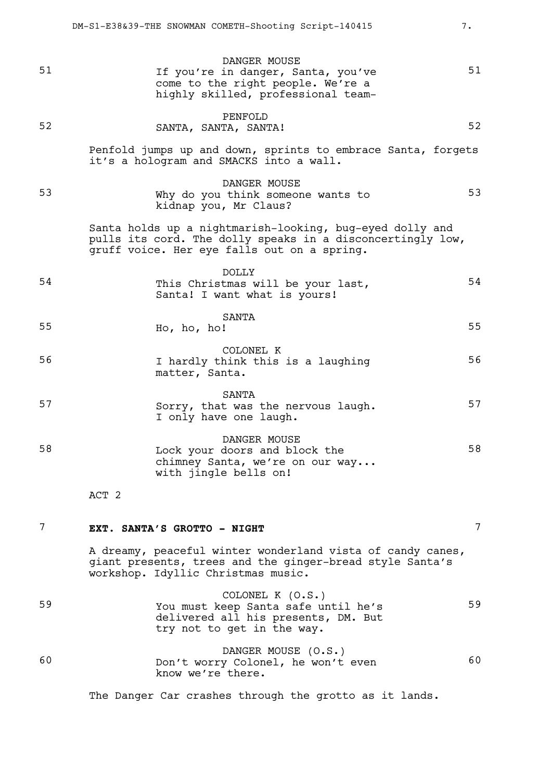DANGER MOUSE 51 15 July 11 Vou're in danger, Santa, you've 51 come to the right people. We're a highly skilled, professional team-PENFOLD 52 SANTA, SANTA, SANTA! Penfold jumps up and down, sprints to embrace Santa, forgets it's a hologram and SMACKS into a wall. DANGER MOUSE 53 Why do you think someone wants to 53 kidnap you, Mr Claus? Santa holds up a nightmarish-looking, bug-eyed dolly and pulls its cord. The dolly speaks in a disconcertingly low, gruff voice. Her eye falls out on a spring. DOLLY 54 This Christmas will be your last, 54 Santa! I want what is yours! SANTA 55 Ho, ho, ho! 55 COLONEL K 56 I hardly think this is a laughing 56 matter, Santa. SANTA 57 Sorry, that was the nervous laugh. 57 I only have one laugh. DANGER MOUSE 58 Lock your doors and block the 58 chimney Santa, we're on our way... with jingle bells on! ACT 2

# 7 **EXT. SANTA'S GROTTO - NIGHT** 7

A dreamy, peaceful winter wonderland vista of candy canes, giant presents, trees and the ginger-bread style Santa's workshop. Idyllic Christmas music.

|    | COLONEL K (O.S.)                                                           |    |  |  |
|----|----------------------------------------------------------------------------|----|--|--|
| 59 | You must keep Santa safe until he's<br>delivered all his presents, DM. But | 59 |  |  |
|    | try not to get in the way.                                                 |    |  |  |
|    | DANGER MOUSE (O.S.)                                                        |    |  |  |

60 Don't worry Colonel, he won't even 60 know we're there.

The Danger Car crashes through the grotto as it lands.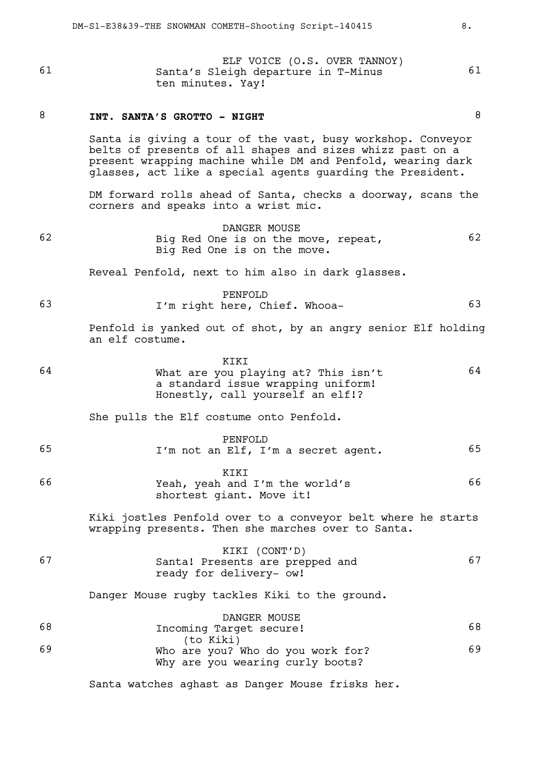ELF VOICE (O.S. OVER TANNOY) 61 Santa's Sleigh departure in T-Minus 61 ten minutes. Yay!

### 8 **INT. SANTA'S GROTTO - NIGHT** 8

Santa is giving a tour of the vast, busy workshop. Conveyor belts of presents of all shapes and sizes whizz past on a present wrapping machine while DM and Penfold, wearing dark glasses, act like a special agents guarding the President.

DM forward rolls ahead of Santa, checks a doorway, scans the corners and speaks into a wrist mic.

DANGER MOUSE 62 Big Red One is on the move, repeat, 62 Big Red One is on the move.

Reveal Penfold, next to him also in dark glasses.

PENFOLD 63 I'm right here, Chief. Whooa- 63

> Penfold is yanked out of shot, by an angry senior Elf holding an elf costume.

|    | KTKT                                |    |
|----|-------------------------------------|----|
| 64 | What are you playing at? This isn't | 64 |
|    | a standard issue wrapping uniform!  |    |
|    | Honestly, call yourself an elf!?    |    |

She pulls the Elf costume onto Penfold.

|    | PENFOLD |                                     |  |
|----|---------|-------------------------------------|--|
| 65 |         | I'm not an Elf, I'm a secret agent. |  |

|    | KIKI                           |    |
|----|--------------------------------|----|
| 66 | Yeah, yeah and I'm the world's | 66 |
|    | shortest giant. Move it!       |    |

Kiki jostles Penfold over to a conveyor belt where he starts wrapping presents. Then she marches over to Santa.

| 67 | KIKI (CONT'D)                   |  |  |
|----|---------------------------------|--|--|
|    | Santa! Presents are prepped and |  |  |
|    | ready for delivery- ow!         |  |  |
|    |                                 |  |  |

Danger Mouse rugby tackles Kiki to the ground.

|    | DANGER MOUSE                      |    |
|----|-----------------------------------|----|
| 68 | Incoming Target secure!           | 68 |
|    | (to Kiki)                         |    |
| 69 | Who are you? Who do you work for? | 69 |
|    | Why are you wearing curly boots?  |    |

Santa watches aghast as Danger Mouse frisks her.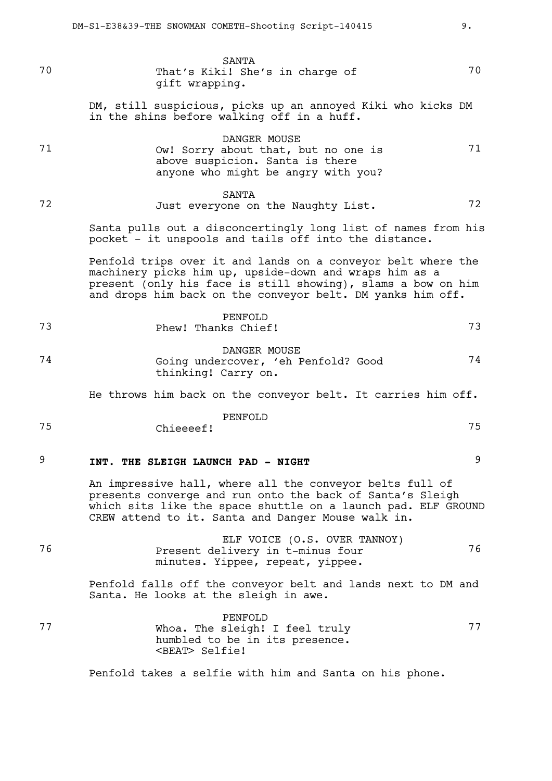SANTA 70 That's Kiki! She's in charge of 70 gift wrapping. DM, still suspicious, picks up an annoyed Kiki who kicks DM in the shins before walking off in a huff. DANGER MOUSE 71 Ow! Sorry about that, but no one is 71 above suspicion. Santa is there anyone who might be angry with you? SANTA 72 Just everyone on the Naughty List. 72 Santa pulls out a disconcertingly long list of names from his pocket - it unspools and tails off into the distance. Penfold trips over it and lands on a conveyor belt where the machinery picks him up, upside-down and wraps him as a present (only his face is still showing), slams a bow on him and drops him back on the conveyor belt. DM yanks him off. PENFOLD 73 Phew! Thanks Chief! 73 DANGER MOUSE 74 Going undercover, 'eh Penfold? Good 74 thinking! Carry on. He throws him back on the conveyor belt. It carries him off. PENFOLD 75 Chieeeef! 75 9 **INT. THE SLEIGH LAUNCH PAD - NIGHT** 9 An impressive hall, where all the conveyor belts full of presents converge and run onto the back of Santa's Sleigh which sits like the space shuttle on a launch pad. ELF GROUND CREW attend to it. Santa and Danger Mouse walk in. ELF VOICE (O.S. OVER TANNOY) 76 Present delivery in t-minus four 76 minutes. Yippee, repeat, yippee. Penfold falls off the conveyor belt and lands next to DM and Santa. He looks at the sleigh in awe. PENFOLD 77 Whoa. The sleigh! I feel truly 77 humbled to be in its presence.

Penfold takes a selfie with him and Santa on his phone.

<BEAT> Selfie!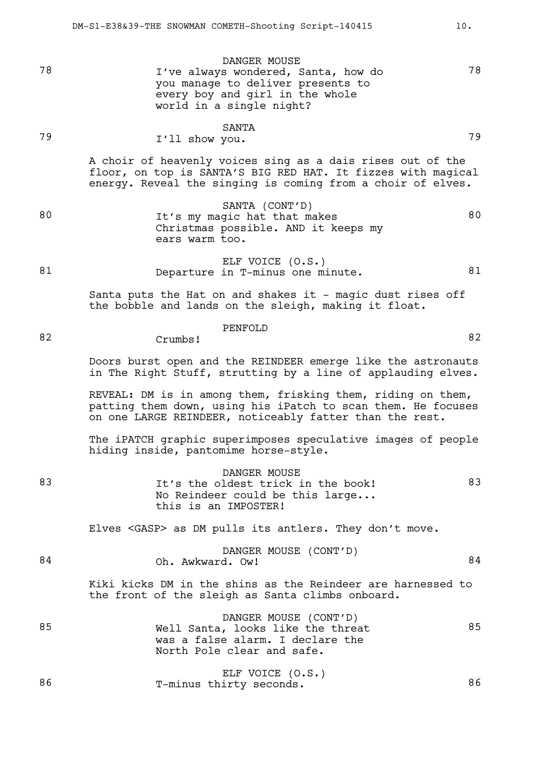78 I've always wondered, Santa, how do 78

#### SANTA 79 **I'll show you.** 79

world in a single night?

A choir of heavenly voices sing as a dais rises out of the floor, on top is SANTA'S BIG RED HAT. It fizzes with magical energy. Reveal the singing is coming from a choir of elves.

SANTA (CONT'D) 80 It's my magic hat that makes 80 Christmas possible. AND it keeps my ears warm too.

DANGER MOUSE

you manage to deliver presents to every boy and girl in the whole

ELF VOICE (O.S.) 81 Departure in T-minus one minute. 81

82 Crumbs! 82

PENFOLD

Santa puts the Hat on and shakes it - magic dust rises off the bobble and lands on the sleigh, making it float.

Doors burst open and the REINDEER emerge like the astronauts in The Right Stuff, strutting by a line of applauding elves.

REVEAL: DM is in among them, frisking them, riding on them, patting them down, using his iPatch to scan them. He focuses on one LARGE REINDEER, noticeably fatter than the rest.

The iPATCH graphic superimposes speculative images of people hiding inside, pantomime horse-style.

|    | DANGER MOUSE                       |    |  |  |
|----|------------------------------------|----|--|--|
| 83 | It's the oldest trick in the book! | 83 |  |  |
|    | No Reindeer could be this large    |    |  |  |
|    | this is an IMPOSTER!               |    |  |  |
|    |                                    |    |  |  |

Elves <GASP> as DM pulls its antlers. They don't move.

|    |                  | DANGER MOUSE (CONT'D) |    |  |
|----|------------------|-----------------------|----|--|
| 84 | Oh. Awkward. Ow! |                       | 84 |  |

Kiki kicks DM in the shins as the Reindeer are harnessed to the front of the sleigh as Santa climbs onboard.

DANGER MOUSE (CONT'D) 85 Well Santa, looks like the threat 85 was a false alarm. I declare the North Pole clear and safe.

|    |                         | ELF VOICE (O.S.) |    |
|----|-------------------------|------------------|----|
| 86 | T-minus thirty seconds. |                  | 86 |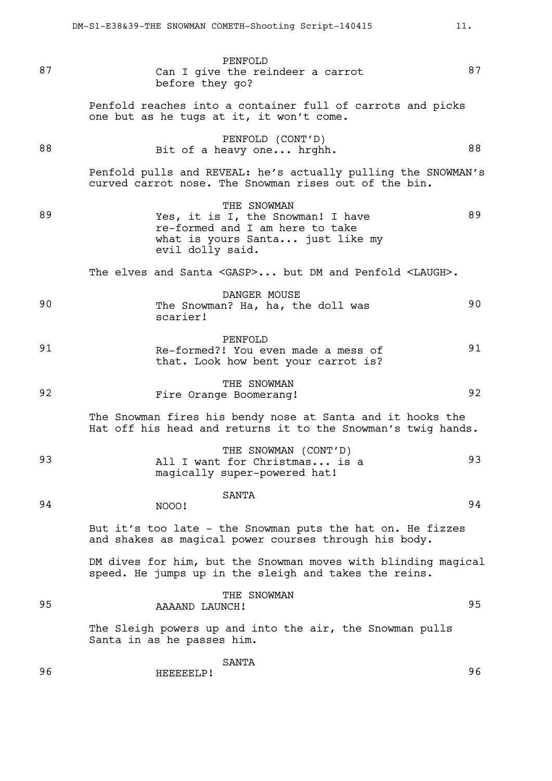| 87 | PENFOLD<br>Can I give the reindeer a carrot<br>before they go?                                                                              | 87 |
|----|---------------------------------------------------------------------------------------------------------------------------------------------|----|
|    | Penfold reaches into a container full of carrots and picks<br>one but as he tugs at it, it won't come.                                      |    |
| 88 | PENFOLD (CONT'D)<br>Bit of a heavy one hrghh.                                                                                               | 88 |
|    | Penfold pulls and REVEAL: he's actually pulling the SNOWMAN's<br>curved carrot nose. The Snowman rises out of the bin.                      |    |
| 89 | THE SNOWMAN<br>Yes, it is I, the Snowman! I have<br>re-formed and I am here to take<br>what is yours Santa just like my<br>evil dolly said. | 89 |
|    | The elves and Santa <gasp> but DM and Penfold <laugh>.</laugh></gasp>                                                                       |    |
| 90 | DANGER MOUSE<br>The Snowman? Ha, ha, the doll was<br>scarier!                                                                               | 90 |
| 91 | PENFOLD<br>Re-formed?! You even made a mess of<br>that. Look how bent your carrot is?                                                       | 91 |
| 92 | THE SNOWMAN<br>Fire Orange Boomerang!                                                                                                       | 92 |
|    | The Snowman fires his bendy nose at Santa and it hooks the<br>Hat off his head and returns it to the Snowman's twig hands.                  |    |
| 93 | THE SNOWMAN (CONT'D)<br>All I want for Christmas is a<br>magically super-powered hat!                                                       | 93 |
| 94 | <b>SANTA</b><br>NOOO!                                                                                                                       | 94 |
|    | But it's too late - the Snowman puts the hat on. He fizzes<br>and shakes as magical power courses through his body.                         |    |
|    | DM dives for him, but the Snowman moves with blinding magical<br>speed. He jumps up in the sleigh and takes the reins.                      |    |
| 95 | THE SNOWMAN<br>AAAAND LAUNCH!                                                                                                               | 95 |
|    | The Sleigh powers up and into the air, the Snowman pulls<br>Santa in as he passes him.                                                      |    |
| 96 | SANTA<br>HEEEEELP!                                                                                                                          | 96 |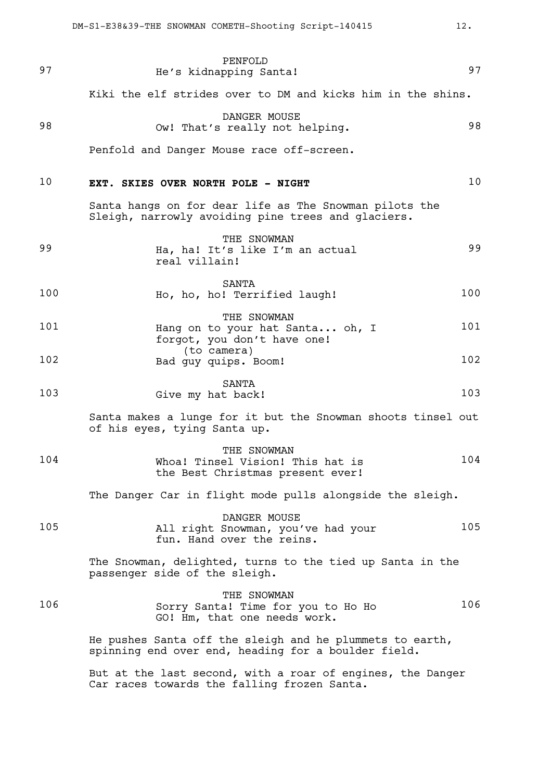| 97  | PENFOLD<br>He's kidnapping Santa!                                                                               | 97  |
|-----|-----------------------------------------------------------------------------------------------------------------|-----|
|     | Kiki the elf strides over to DM and kicks him in the shins.                                                     |     |
| 98  | DANGER MOUSE<br>Ow! That's really not helping.                                                                  | 98  |
|     | Penfold and Danger Mouse race off-screen.                                                                       |     |
| 10  | EXT. SKIES OVER NORTH POLE - NIGHT                                                                              | 10  |
|     | Santa hangs on for dear life as The Snowman pilots the<br>Sleigh, narrowly avoiding pine trees and glaciers.    |     |
| 99  | THE SNOWMAN<br>Ha, ha! It's like I'm an actual<br>real villain!                                                 | 99  |
| 100 | SANTA<br>Ho, ho, ho! Terrified laugh!                                                                           | 100 |
| 101 | THE SNOWMAN<br>Hang on to your hat Santa oh, I<br>forgot, you don't have one!                                   | 101 |
| 102 | (to camera)<br>Bad guy quips. Boom!                                                                             | 102 |
| 103 | SANTA<br>Give my hat back!                                                                                      | 103 |
|     | Santa makes a lunge for it but the Snowman shoots tinsel out<br>of his eyes, tying Santa up.                    |     |
| 104 | THE SNOWMAN<br>Whoa! Tinsel Vision! This hat is<br>the Best Christmas present ever!                             | 104 |
|     | The Danger Car in flight mode pulls alongside the sleigh.                                                       |     |
| 105 | DANGER MOUSE<br>All right Snowman, you've had your<br>fun. Hand over the reins.                                 | 105 |
|     | The Snowman, delighted, turns to the tied up Santa in the<br>passenger side of the sleigh.                      |     |
| 106 | THE SNOWMAN<br>Sorry Santa! Time for you to Ho Ho<br>GO! Hm, that one needs work.                               | 106 |
|     | He pushes Santa off the sleigh and he plummets to earth,<br>spinning end over end, heading for a boulder field. |     |
|     | But at the last second, with a roar of engines, the Danger<br>Car races towards the falling frozen Santa.       |     |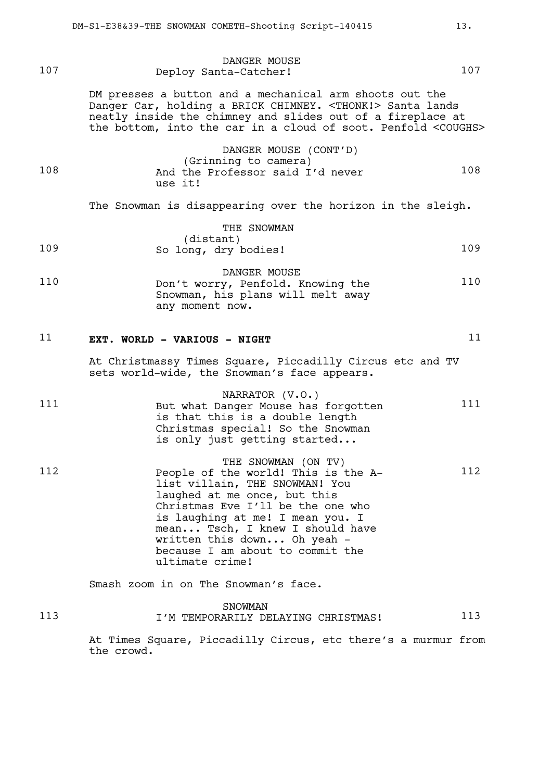| 107 | DANGER MOUSE<br>Deploy Santa-Catcher!                                                                                                                                                                                                                                                                                          | 107 |
|-----|--------------------------------------------------------------------------------------------------------------------------------------------------------------------------------------------------------------------------------------------------------------------------------------------------------------------------------|-----|
|     | DM presses a button and a mechanical arm shoots out the<br>Danger Car, holding a BRICK CHIMNEY. <thonk!> Santa lands<br/>neatly inside the chimney and slides out of a fireplace at<br/>the bottom, into the car in a cloud of soot. Penfold <coughs></coughs></thonk!>                                                        |     |
| 108 | DANGER MOUSE (CONT'D)<br>(Grinning to camera)<br>And the Professor said I'd never<br>use it!                                                                                                                                                                                                                                   | 108 |
|     | The Snowman is disappearing over the horizon in the sleigh.                                                                                                                                                                                                                                                                    |     |
| 109 | THE SNOWMAN<br>(distant)<br>So long, dry bodies!                                                                                                                                                                                                                                                                               | 109 |
| 110 | DANGER MOUSE<br>Don't worry, Penfold. Knowing the<br>Snowman, his plans will melt away<br>any moment now.                                                                                                                                                                                                                      | 110 |
| 11  | EXT. WORLD - VARIOUS - NIGHT                                                                                                                                                                                                                                                                                                   | 11  |
|     | At Christmassy Times Square, Piccadilly Circus etc and TV<br>sets world-wide, the Snowman's face appears.                                                                                                                                                                                                                      |     |
| 111 | NARRATOR (V.O.)<br>But what Danger Mouse has forgotten<br>is that this is a double length<br>Christmas special! So the Snowman<br>is only just getting started                                                                                                                                                                 | 111 |
| 112 | THE SNOWMAN (ON TV)<br>People of the world! This is the A-<br>list villain, THE SNOWMAN! You<br>laughed at me once, but this<br>Christmas Eve I'll be the one who<br>is laughing at me! I mean you. I<br>mean Tsch, I knew I should have<br>written this down Oh yeah -<br>because I am about to commit the<br>ultimate crime! | 112 |
|     | Smash zoom in on The Snowman's face.                                                                                                                                                                                                                                                                                           |     |
| 113 | <b>SNOWMAN</b><br>I'M TEMPORARILY DELAYING CHRISTMAS!                                                                                                                                                                                                                                                                          | 113 |
|     | At Times Square, Piccadilly Circus, etc there's a murmur from<br>the crowd.                                                                                                                                                                                                                                                    |     |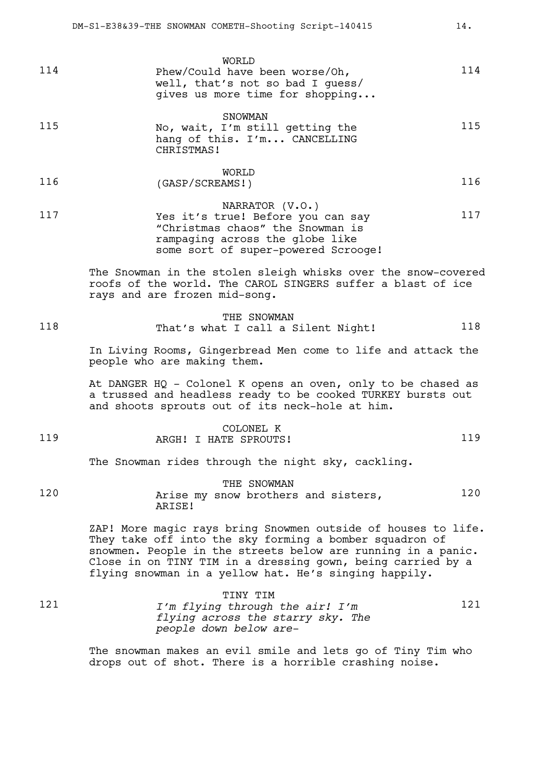|               | WORLD                                                                                                 |     |
|---------------|-------------------------------------------------------------------------------------------------------|-----|
| 114           | Phew/Could have been worse/Oh,<br>well, that's not so bad I quess/<br>gives us more time for shopping | 114 |
| $\sim$ $\sim$ | SNOWMAN                                                                                               |     |

| 115 | No, wait, I'm still getting the            | 115 |
|-----|--------------------------------------------|-----|
|     | hang of this. I'm CANCELLING<br>CHRISTMAS! |     |
|     |                                            |     |

|     | WORLD           |     |
|-----|-----------------|-----|
| 116 | (GASP/SCREAMS!) | 116 |

NARRATOR (V.O.) 117 Yes it's true! Before you can say 117 "Christmas chaos" the Snowman is rampaging across the globe like some sort of super-powered Scrooge!

> The Snowman in the stolen sleigh whisks over the snow-covered roofs of the world. The CAROL SINGERS suffer a blast of ice rays and are frozen mid-song.

THE SNOWMAN 118 That's what I call a Silent Night! 118

In Living Rooms, Gingerbread Men come to life and attack the people who are making them.

At DANGER HQ - Colonel K opens an oven, only to be chased as a trussed and headless ready to be cooked TURKEY bursts out and shoots sprouts out of its neck-hole at him.

|     |                       | K<br>COLONEL  |     |  |
|-----|-----------------------|---------------|-----|--|
| 119 | ARGH!<br>$\mathbf{r}$ | HATE SPROUTS! | 1 Q |  |

The Snowman rides through the night sky, cackling.

THE SNOWMAN 120 **Arise my snow brothers and sisters,** 120 ARISE!

> ZAP! More magic rays bring Snowmen outside of houses to life. They take off into the sky forming a bomber squadron of snowmen. People in the streets below are running in a panic. Close in on TINY TIM in a dressing gown, being carried by a flying snowman in a yellow hat. He's singing happily.

|     | TINY TIM                          |      |
|-----|-----------------------------------|------|
| 121 | I'm flying through the air! I'm   | 12.1 |
|     | flying across the starry sky. The |      |
|     | people down below are-            |      |

The snowman makes an evil smile and lets go of Tiny Tim who drops out of shot. There is a horrible crashing noise.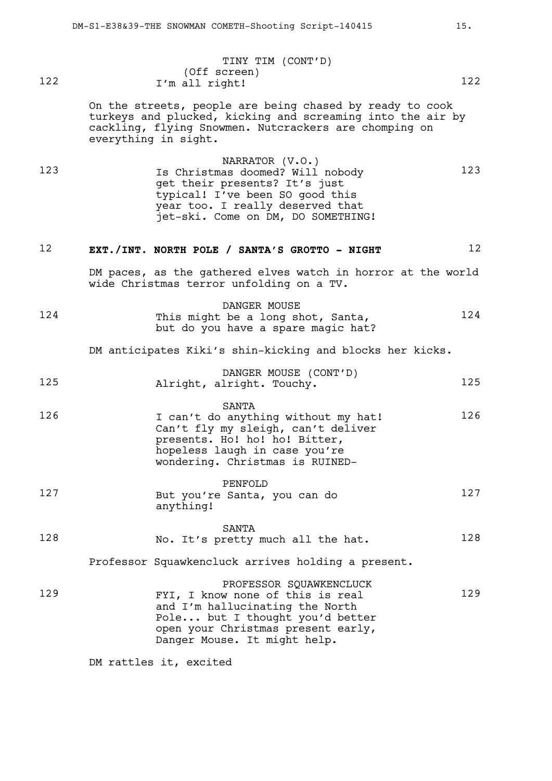|     | TINY TIM (CONT'D) |     |
|-----|-------------------|-----|
|     | (Off screen)      |     |
| 122 | I'm all right!    | 122 |

On the streets, people are being chased by ready to cook turkeys and plucked, kicking and screaming into the air by cackling, flying Snowmen. Nutcrackers are chomping on everything in sight.

NARRATOR (V.O.) 123 123 Is Christmas doomed? Will nobody 123 get their presents? It's just typical! I've been SO good this year too. I really deserved that jet-ski. Come on DM, DO SOMETHING!

# 12 **EXT./INT. NORTH POLE / SANTA'S GROTTO - NIGHT** 12

DM paces, as the gathered elves watch in horror at the world wide Christmas terror unfolding on a TV.

|     | DANGER MOUSE                       |     |
|-----|------------------------------------|-----|
| 124 | This might be a long shot, Santa,  | 124 |
|     | but do you have a spare magic hat? |     |

DM anticipates Kiki's shin-kicking and blocks her kicks.

|     |                           |  | DANGER MOUSE (CONT'D) |     |
|-----|---------------------------|--|-----------------------|-----|
| 125 | Alright, alright. Touchy. |  |                       | 125 |

### SANTA 126 I can't do anything without my hat! 126 Can't fly my sleigh, can't deliver presents. Ho! ho! ho! Bitter, hopeless laugh in case you're wondering. Christmas is RUINED-

|     | PENFOLD                                   |     |
|-----|-------------------------------------------|-----|
| 127 | But you're Santa, you can do<br>anything! | 127 |
|     |                                           |     |

SANTA 128 No. It's pretty much all the hat. 128

Professor Squawkencluck arrives holding a present.

PROFESSOR SQUAWKENCLUCK 129 FYI, I know none of this is real 129 and I'm hallucinating the North Pole... but I thought you'd better open your Christmas present early, Danger Mouse. It might help.

DM rattles it, excited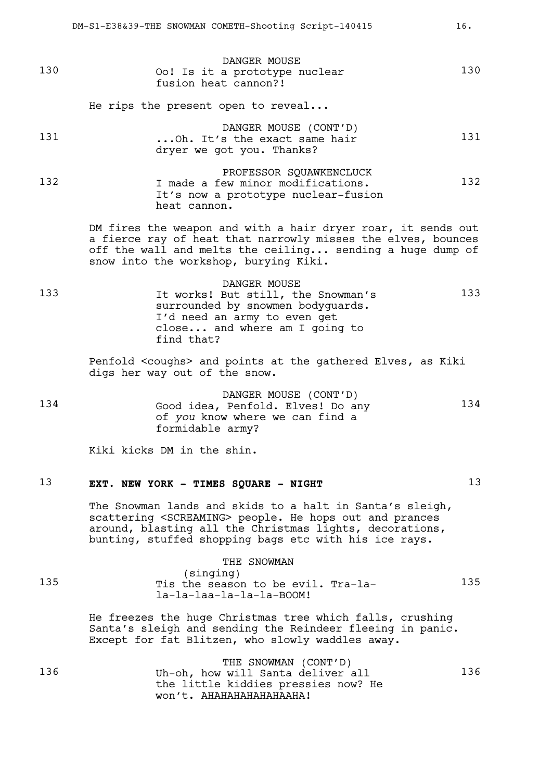|     | DR-DI-BJ00JJ-INB DNOWNAN CONBIN-DNOOCING DCLIPC-ITOTIJ                                                                                                                                                                                               |     |
|-----|------------------------------------------------------------------------------------------------------------------------------------------------------------------------------------------------------------------------------------------------------|-----|
| 130 | DANGER MOUSE<br>Oo! Is it a prototype nuclear<br>fusion heat cannon?!                                                                                                                                                                                | 130 |
|     | He rips the present open to reveal                                                                                                                                                                                                                   |     |
| 131 | DANGER MOUSE (CONT'D)<br>Oh. It's the exact same hair<br>dryer we got you. Thanks?                                                                                                                                                                   | 131 |
| 132 | PROFESSOR SQUAWKENCLUCK<br>I made a few minor modifications.<br>It's now a prototype nuclear-fusion<br>heat cannon.                                                                                                                                  | 132 |
|     | DM fires the weapon and with a hair dryer roar, it sends out<br>a fierce ray of heat that narrowly misses the elves, bounces<br>off the wall and melts the ceiling sending a huge dump of<br>snow into the workshop, burying Kiki.                   |     |
| 133 | DANGER MOUSE<br>It works! But still, the Snowman's<br>surrounded by snowmen bodyguards.<br>I'd need an army to even get<br>close and where am I going to<br>find that?                                                                               | 133 |
|     | Penfold <coughs> and points at the gathered Elves, as Kiki<br/>digs her way out of the snow.</coughs>                                                                                                                                                |     |
| 134 | DANGER MOUSE (CONT'D)<br>Good idea, Penfold. Elves! Do any<br>of you know where we can find a<br>formidable army?                                                                                                                                    | 134 |
|     | Kiki kicks DM in the shin.                                                                                                                                                                                                                           |     |
| 13  | EXT. NEW YORK - TIMES SQUARE - NIGHT                                                                                                                                                                                                                 | 13  |
|     | The Snowman lands and skids to a halt in Santa's sleigh,<br>scattering <screaming> people. He hops out and prances<br/>around, blasting all the Christmas lights, decorations,<br/>bunting, stuffed shopping bags etc with his ice rays.</screaming> |     |

|     | THE SNOWMAN                                                                 |     |
|-----|-----------------------------------------------------------------------------|-----|
| 135 | (singing)<br>Tis the season to be evil. Tra-la-<br>la-la-laa-la-la-la-BOOM! | 135 |

He freezes the huge Christmas tree which falls, crushing Santa's sleigh and sending the Reindeer fleeing in panic. Except for fat Blitzen, who slowly waddles away.

|     | THE SNOWMAN (CONT'D)                |     |
|-----|-------------------------------------|-----|
| 136 | Uh-oh, how will Santa deliver all   | 136 |
|     | the little kiddies pressies now? He |     |
|     | won't. AHAHAHAHAHAHAAHA!            |     |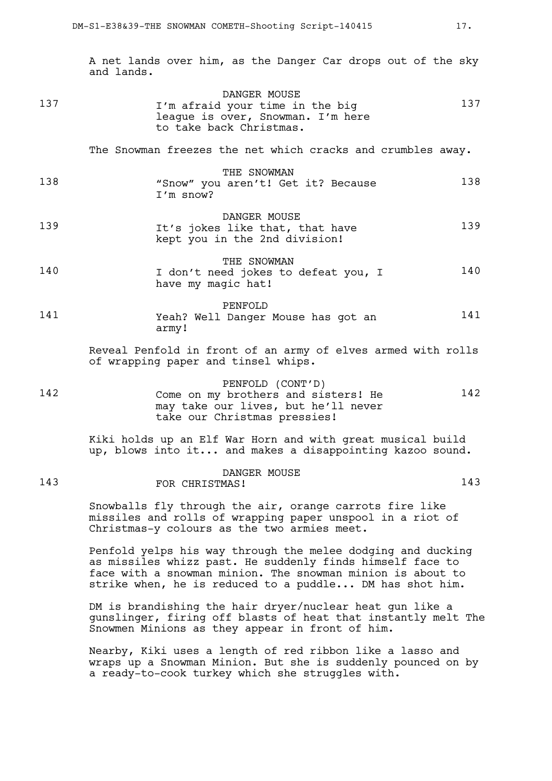A net lands over him, as the Danger Car drops out of the sky and lands.

|     | DANGER MOUSE                      |     |
|-----|-----------------------------------|-----|
| 137 | I'm afraid your time in the big   | 137 |
|     | league is over, Snowman. I'm here |     |
|     | to take back Christmas.           |     |

The Snowman freezes the net which cracks and crumbles away.

| 138 | THE SNOWMAN                        |     |
|-----|------------------------------------|-----|
|     | "Snow" you aren't! Get it? Because | 138 |
|     | I'm snow?                          |     |
|     | DINCRE CRIPTIC                     |     |

- DANGER MOUSE 139 It's jokes like that, that have 139 kept you in the 2nd division!
- THE SNOWMAN 140 I don't need jokes to defeat you, I 140 have my magic hat!
- PENFOLD 141 Yeah? Well Danger Mouse has got an 141 army!

Reveal Penfold in front of an army of elves armed with rolls of wrapping paper and tinsel whips.

PENFOLD (CONT'D) 142 Come on my brothers and sisters! He 142 may take our lives, but he'll never take our Christmas pressies!

> Kiki holds up an Elf War Horn and with great musical build up, blows into it... and makes a disappointing kazoo sound.

### DANGER MOUSE 143 FOR CHRISTMAS! 143

Snowballs fly through the air, orange carrots fire like missiles and rolls of wrapping paper unspool in a riot of Christmas-y colours as the two armies meet.

Penfold yelps his way through the melee dodging and ducking as missiles whizz past. He suddenly finds himself face to face with a snowman minion. The snowman minion is about to strike when, he is reduced to a puddle... DM has shot him.

DM is brandishing the hair dryer/nuclear heat gun like a gunslinger, firing off blasts of heat that instantly melt The Snowmen Minions as they appear in front of him.

Nearby, Kiki uses a length of red ribbon like a lasso and wraps up a Snowman Minion. But she is suddenly pounced on by a ready-to-cook turkey which she struggles with.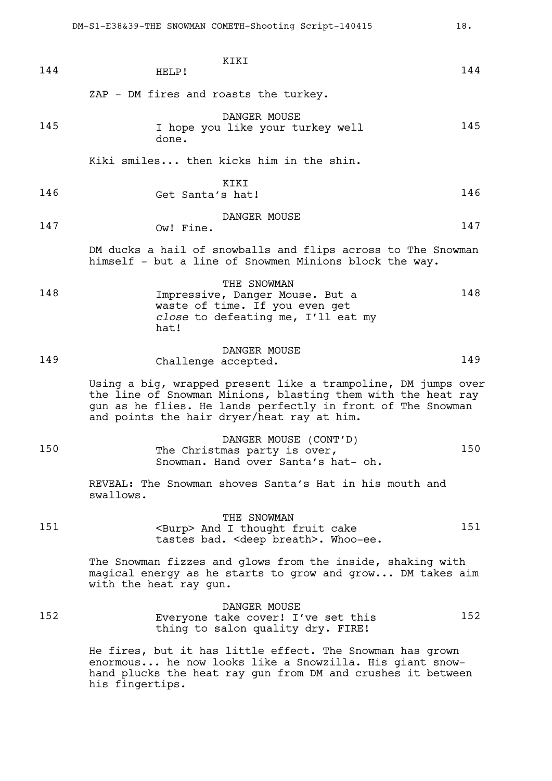| 144 | KIKI<br>HELP!                                                                                                                                                                                                                              | 144 |
|-----|--------------------------------------------------------------------------------------------------------------------------------------------------------------------------------------------------------------------------------------------|-----|
|     | ZAP - DM fires and roasts the turkey.                                                                                                                                                                                                      |     |
| 145 | DANGER MOUSE<br>I hope you like your turkey well<br>done.                                                                                                                                                                                  | 145 |
|     | Kiki smiles then kicks him in the shin.                                                                                                                                                                                                    |     |
| 146 | KIKI<br>Get Santa's hat!                                                                                                                                                                                                                   | 146 |
| 147 | DANGER MOUSE<br>Ow! Fine.                                                                                                                                                                                                                  | 147 |
|     | DM ducks a hail of snowballs and flips across to The Snowman<br>himself - but a line of Snowmen Minions block the way.                                                                                                                     |     |
| 148 | THE SNOWMAN<br>Impressive, Danger Mouse. But a<br>waste of time. If you even get<br>close to defeating me, I'll eat my<br>hat!                                                                                                             | 148 |
| 149 | DANGER MOUSE<br>Challenge accepted.                                                                                                                                                                                                        | 149 |
|     | Using a big, wrapped present like a trampoline, DM jumps over<br>the line of Snowman Minions, blasting them with the heat ray<br>gun as he flies. He lands perfectly in front of The Snowman<br>and points the hair dryer/heat ray at him. |     |
| 150 | DANGER MOUSE (CONT'D)<br>The Christmas party is over,<br>Snowman. Hand over Santa's hat- oh.                                                                                                                                               | 150 |
|     | REVEAL: The Snowman shoves Santa's Hat in his mouth and<br>swallows.                                                                                                                                                                       |     |
| 151 | THE SNOWMAN<br><burp> And I thought fruit cake<br/>tastes bad. &lt; deep breath&gt;. Whoo-ee.</burp>                                                                                                                                       | 151 |
|     | The Snowman fizzes and glows from the inside, shaking with<br>magical energy as he starts to grow and grow DM takes aim<br>with the heat ray gun.                                                                                          |     |
| 152 | DANGER MOUSE<br>Everyone take cover! I've set this<br>thing to salon quality dry. FIRE!                                                                                                                                                    | 152 |
|     | He fires, but it has little effect. The Snowman has grown<br>enormous he now looks like a Snowzilla. His giant snow-<br>hand plucks the heat ray gun from DM and crushes it between<br>his fingertips.                                     |     |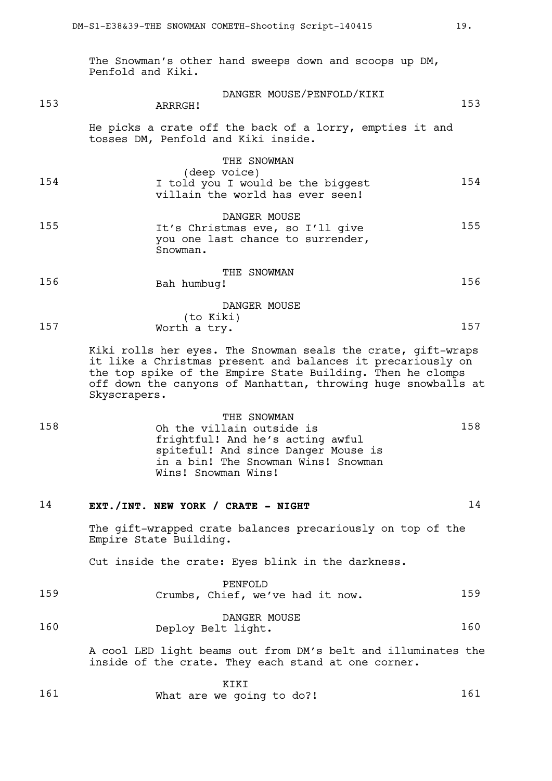The Snowman's other hand sweeps down and scoops up DM, Penfold and Kiki.

| 153 | DANGER MOUSE/PENFOLD/KIKI<br>ARRRGH!                                                                 | 153 |
|-----|------------------------------------------------------------------------------------------------------|-----|
|     | He picks a crate off the back of a lorry, empties it and<br>tosses DM, Penfold and Kiki inside.      |     |
| 154 | THE SNOWMAN<br>(deep voice)<br>I told you I would be the biggest<br>villain the world has ever seen! | 154 |
| 155 | DANGER MOUSE<br>It's Christmas eve, so I'll give<br>you one last chance to surrender,<br>Snowman.    | 155 |
| 156 | THE SNOWMAN<br>Bah humbuq!                                                                           | 156 |
| 157 | DANGER MOUSE<br>(to Kiki)<br>Worth a try.                                                            | 157 |

Kiki rolls her eyes. The Snowman seals the crate, gift-wraps it like a Christmas present and balances it precariously on the top spike of the Empire State Building. Then he clomps off down the canyons of Manhattan, throwing huge snowballs at Skyscrapers.

THE SNOWMAN 158 Oh the villain outside is 158 frightful! And he's acting awful spiteful! And since Danger Mouse is in a bin! The Snowman Wins! Snowman Wins! Snowman Wins!

# 14 **EXT./INT. NEW YORK / CRATE - NIGHT** 14

The gift-wrapped crate balances precariously on top of the Empire State Building.

Cut inside the crate: Eyes blink in the darkness.

|     | PENFOLD                          |     |
|-----|----------------------------------|-----|
| 159 | Crumbs, Chief, we've had it now. | 159 |
|     |                                  |     |

DANGER MOUSE 160 Deploy Belt light. 160 160

> A cool LED light beams out from DM's belt and illuminates the inside of the crate. They each stand at one corner.

|     | KIKI                      |     |
|-----|---------------------------|-----|
| 161 | What are we going to do?! | L61 |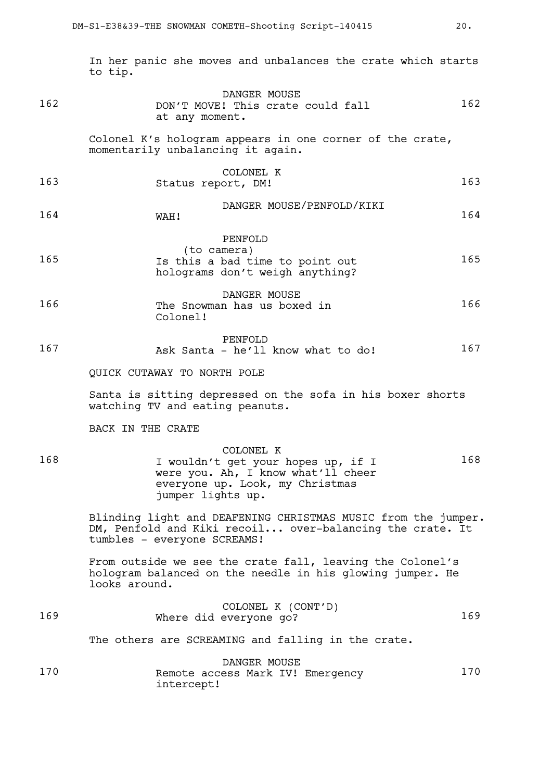In her panic she moves and unbalances the crate which starts to tip.

| 162 | DANGER MOUSE<br>DON'T MOVE! This crate could fall<br>at any moment.                                                                                      | 162 |
|-----|----------------------------------------------------------------------------------------------------------------------------------------------------------|-----|
|     | Colonel K's hologram appears in one corner of the crate,<br>momentarily unbalancing it again.                                                            |     |
| 163 | COLONEL K<br>Status report, DM!                                                                                                                          | 163 |
| 164 | DANGER MOUSE/PENFOLD/KIKI<br>WAH!                                                                                                                        | 164 |
| 165 | PENFOLD<br>(to camera)<br>Is this a bad time to point out<br>holograms don't weigh anything?                                                             | 165 |
| 166 | DANGER MOUSE<br>The Snowman has us boxed in<br>Colonel!                                                                                                  | 166 |
| 167 | PENFOLD<br>Ask Santa - he'll know what to do!                                                                                                            | 167 |
|     | QUICK CUTAWAY TO NORTH POLE                                                                                                                              |     |
|     | Santa is sitting depressed on the sofa in his boxer shorts<br>watching TV and eating peanuts.                                                            |     |
|     | BACK IN THE CRATE                                                                                                                                        |     |
| 168 | COLONEL K<br>I wouldn't get your hopes up, if I<br>were you. Ah, I know what'll cheer<br>everyone up. Look, my Christmas<br>jumper lights up.            | 168 |
|     | Blinding light and DEAFENING CHRISTMAS MUSIC from the jumper.<br>DM, Penfold and Kiki recoil over-balancing the crate. It<br>tumbles - everyone SCREAMS! |     |
|     | From outside we see the crate fall, leaving the Colonel's<br>hologram balanced on the needle in his glowing jumper. He<br>looks around.                  |     |
| 169 | COLONEL K (CONT'D)<br>Where did everyone go?                                                                                                             | 169 |
|     | The others are SCREAMING and falling in the crate.                                                                                                       |     |
| 170 | DANGER MOUSE<br>Remote access Mark IV! Emergency<br>intercept!                                                                                           | 170 |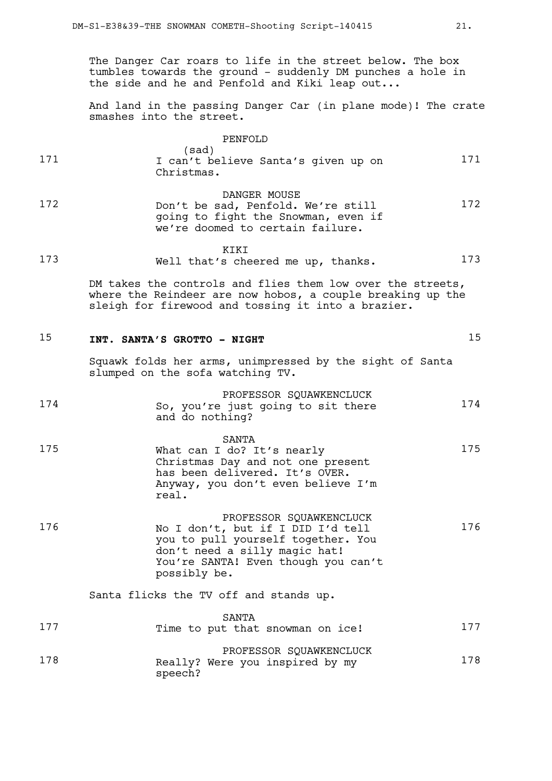The Danger Car roars to life in the street below. The box tumbles towards the ground - suddenly DM punches a hole in the side and he and Penfold and Kiki leap out...

And land in the passing Danger Car (in plane mode)! The crate smashes into the street.

|     | PENFOLD                                                    |     |
|-----|------------------------------------------------------------|-----|
| 171 | (sad)<br>I can't believe Santa's given up on<br>Christmas. | 171 |
|     |                                                            |     |

DANGER MOUSE 172 Don't be sad, Penfold. We're still 172 going to fight the Snowman, even if we're doomed to certain failure.

**KTKT** 173 Well that's cheered me up, thanks. 173

> DM takes the controls and flies them low over the streets, where the Reindeer are now hobos, a couple breaking up the sleigh for firewood and tossing it into a brazier.

# 15 **INT. SANTA'S GROTTO - NIGHT** 15

Squawk folds her arms, unimpressed by the sight of Santa slumped on the sofa watching TV.

|     | PROFESSOR SQUAWKENCLUCK                               |     |
|-----|-------------------------------------------------------|-----|
| 174 | So, you're just going to sit there<br>and do nothing? | 174 |

|     | SANTA                                                               |     |
|-----|---------------------------------------------------------------------|-----|
| 175 | What can I do? It's nearly                                          | 175 |
|     | Christmas Day and not one present<br>has been delivered. It's OVER. |     |
|     | Anyway, you don't even believe I'm<br>real.                         |     |

|     | PROFESSOR SQUAWKENCLUCK             |     |
|-----|-------------------------------------|-----|
| 176 | No I don't, but if I DID I'd tell   | 176 |
|     | you to pull yourself together. You  |     |
|     | don't need a silly magic hat!       |     |
|     | You're SANTA! Even though you can't |     |
|     | possibly be.                        |     |

Santa flicks the TV off and stands up.

| 177 | SANTA<br>Time to put that snowman on ice!                             | 177 |
|-----|-----------------------------------------------------------------------|-----|
| 178 | PROFESSOR SOUAWKENCLUCK<br>Really? Were you inspired by my<br>speech? | 178 |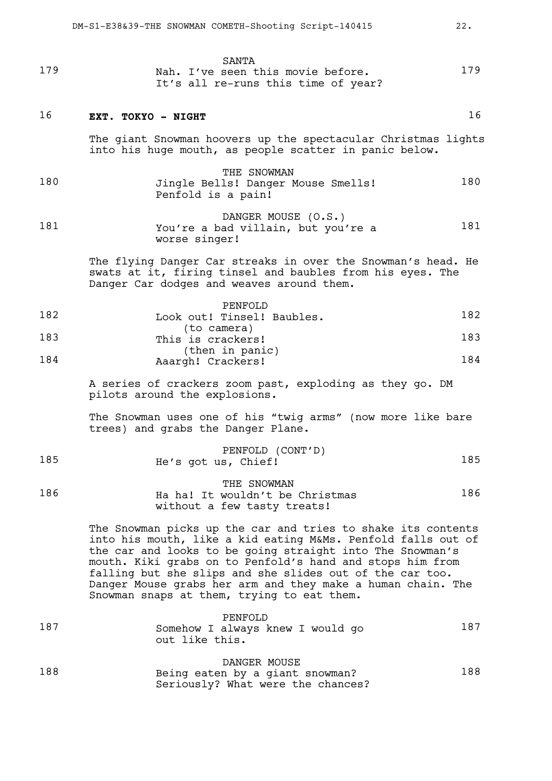|     | SANTA                               |     |
|-----|-------------------------------------|-----|
| 179 | Nah. I've seen this movie before.   | 179 |
|     | It's all re-runs this time of year? |     |

### 16 **EXT. TOKYO - NIGHT** 16

The giant Snowman hoovers up the spectacular Christmas lights into his huge mouth, as people scatter in panic below.

- THE SNOWMAN 180 Jingle Bells! Danger Mouse Smells! 180 Penfold is a pain!
- DANGER MOUSE (O.S.) 181 You're a bad villain, but you're a 181 worse singer!

The flying Danger Car streaks in over the Snowman's head. He swats at it, firing tinsel and baubles from his eyes. The Danger Car dodges and weaves around them.

|     | PENFOLD                              |     |
|-----|--------------------------------------|-----|
| 182 | Look out! Tinsel! Baubles.           | 182 |
| 183 | (to camera)<br>This is crackers!     | 183 |
| 184 | (then in panic)<br>Aaargh! Crackers! | 184 |

A series of crackers zoom past, exploding as they go. DM pilots around the explosions.

The Snowman uses one of his "twig arms" (now more like bare trees) and grabs the Danger Plane.

|     | PENFOLD (CONT'D)    |     |
|-----|---------------------|-----|
| 185 | He's got us, Chief! | 185 |

THE SNOWMAN 186 Ha ha! It wouldn't be Christmas 186 without a few tasty treats!

> The Snowman picks up the car and tries to shake its contents into his mouth, like a kid eating M&Ms. Penfold falls out of the car and looks to be going straight into The Snowman's mouth. Kiki grabs on to Penfold's hand and stops him from falling but she slips and she slides out of the car too. Danger Mouse grabs her arm and they make a human chain. The Snowman snaps at them, trying to eat them.

| 187 | PENFOLD<br>Somehow I always knew I would go<br>out like this. | 187 |
|-----|---------------------------------------------------------------|-----|
|     | DANGER MOUSE                                                  |     |

|     | 21110211 1100DH                   |     |
|-----|-----------------------------------|-----|
| 188 | Being eaten by a giant snowman?   | 188 |
|     | Seriously? What were the chances? |     |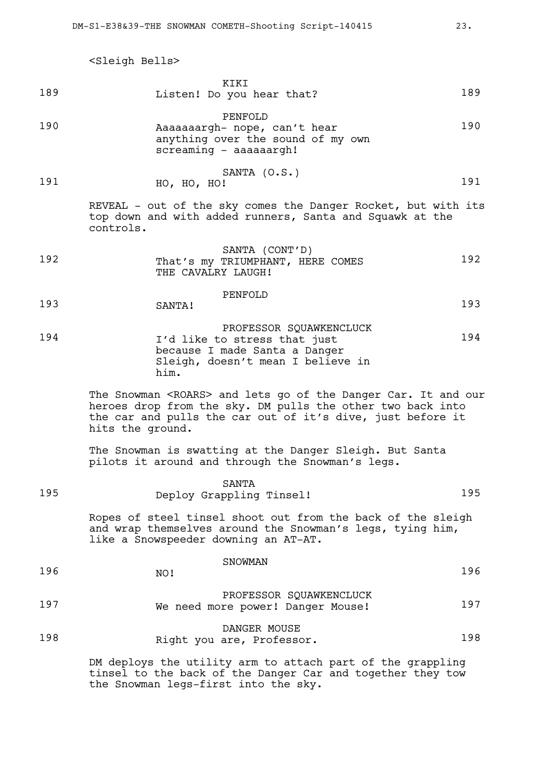<Sleigh Bells>

|     | KIKI |                           |     |
|-----|------|---------------------------|-----|
| 189 |      | Listen! Do you hear that? | 189 |

PENFOLD 190 **Aaaaaaargh-** nope, can't hear 190 anything over the sound of my own screaming - aaaaaargh!

SANTA (O.S.) 191 HO, HO, HO! 191

REVEAL - out of the sky comes the Danger Rocket, but with its top down and with added runners, Santa and Squawk at the controls.

- SANTA (CONT'D) 192 That's my TRIUMPHANT, HERE COMES 192 THE CAVALRY LAUGH!
- PENFOLD 193 SANTA! 193
- PROFESSOR SQUAWKENCLUCK 194 I'd like to stress that just 194 because I made Santa a Danger Sleigh, doesn't mean I believe in him.

The Snowman <ROARS> and lets go of the Danger Car. It and our heroes drop from the sky. DM pulls the other two back into the car and pulls the car out of it's dive, just before it hits the ground.

The Snowman is swatting at the Danger Sleigh. But Santa pilots it around and through the Snowman's legs.

| 195 | SANTA<br>Deploy Grappling Tinsel!                                                                              | 195 |
|-----|----------------------------------------------------------------------------------------------------------------|-----|
|     | τις του από του από του που από του που του παρασιασματισμένου του που αποτελεί του που του που του που του πο |     |

Ropes of steel tinsel shoot out from the back of the sleigh and wrap themselves around the Snowman's legs, tying him, like a Snowspeeder downing an AT-AT.

| 196 | SNOWMAN<br>NO!                                               | 196 |
|-----|--------------------------------------------------------------|-----|
| 197 | PROFESSOR SQUAWKENCLUCK<br>We need more power! Danger Mouse! | 197 |
|     | DANGER MOUSE                                                 |     |

198 Right you are, Professor. 198

DM deploys the utility arm to attach part of the grappling tinsel to the back of the Danger Car and together they tow the Snowman legs-first into the sky.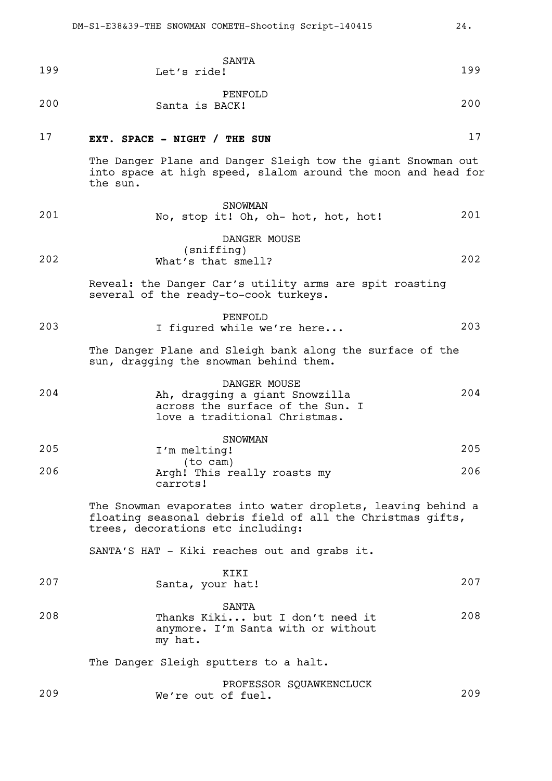| 199 | SANTA<br>Let's ride!                                                                                                                                            | 199 |
|-----|-----------------------------------------------------------------------------------------------------------------------------------------------------------------|-----|
| 200 | PENFOLD<br>Santa is BACK!                                                                                                                                       | 200 |
| 17  | EXT. SPACE - NIGHT / THE SUN                                                                                                                                    | 17  |
|     | The Danger Plane and Danger Sleigh tow the giant Snowman out<br>into space at high speed, slalom around the moon and head for<br>the sun.                       |     |
| 201 | SNOWMAN<br>No, stop it! Oh, oh- hot, hot, hot!                                                                                                                  | 201 |
|     | DANGER MOUSE                                                                                                                                                    |     |
| 202 | (sniffing)<br>What's that smell?                                                                                                                                | 202 |
|     | Reveal: the Danger Car's utility arms are spit roasting<br>several of the ready-to-cook turkeys.                                                                |     |
| 203 | PENFOLD<br>I figured while we're here                                                                                                                           | 203 |
|     | The Danger Plane and Sleigh bank along the surface of the<br>sun, dragging the snowman behind them.                                                             |     |
| 204 | DANGER MOUSE<br>Ah, dragging a giant Snowzilla<br>across the surface of the Sun. I<br>love a traditional Christmas.                                             | 204 |
|     | SNOWMAN                                                                                                                                                         |     |
| 205 | I'm melting!<br>(to cam)                                                                                                                                        | 205 |
| 206 | Argh! This really roasts my<br>carrots!                                                                                                                         | 206 |
|     | The Snowman evaporates into water droplets, leaving behind a<br>floating seasonal debris field of all the Christmas gifts,<br>trees, decorations etc including: |     |
|     | SANTA'S HAT - Kiki reaches out and grabs it.                                                                                                                    |     |
| 207 | KIKI<br>Santa, your hat!                                                                                                                                        | 207 |
| 208 | SANTA<br>Thanks Kiki but I don't need it<br>anymore. I'm Santa with or without<br>my hat.                                                                       | 208 |
|     | The Danger Sleigh sputters to a halt.                                                                                                                           |     |
| 209 | PROFESSOR SQUAWKENCLUCK<br>We're out of fuel.                                                                                                                   | 209 |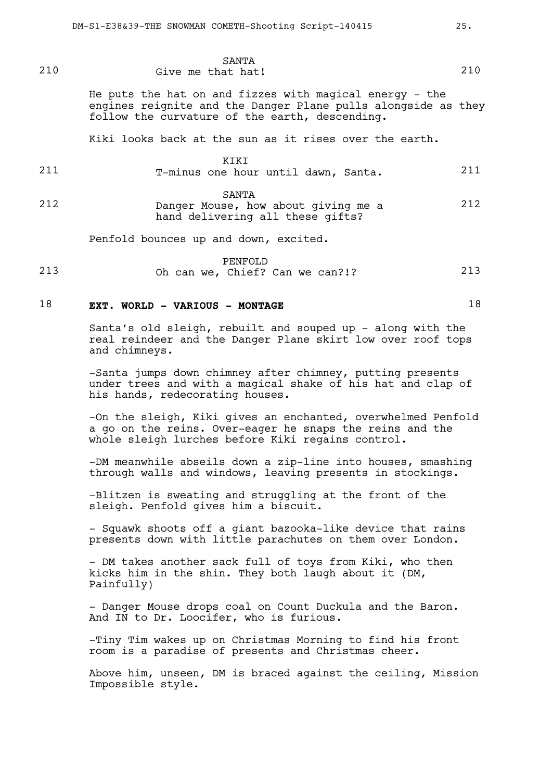| 210 | SANTA<br>Give me that hat!                                                                                                                                                 | 210 |
|-----|----------------------------------------------------------------------------------------------------------------------------------------------------------------------------|-----|
|     | He puts the hat on and fizzes with magical energy - the<br>engines reignite and the Danger Plane pulls alongside as they<br>follow the curvature of the earth, descending. |     |

Kiki looks back at the sun as it rises over the earth.

|--|--|

211 T-minus one hour until dawn, Santa. 211

SANTA

212 Danger Mouse, how about giving me a 212 hand delivering all these gifts?

Penfold bounces up and down, excited.

PENFOLD 213 Oh can we, Chief? Can we can?!? 213

### 18 **EXT. WORLD - VARIOUS - MONTAGE** 18

Santa's old sleigh, rebuilt and souped up - along with the real reindeer and the Danger Plane skirt low over roof tops and chimneys.

-Santa jumps down chimney after chimney, putting presents under trees and with a magical shake of his hat and clap of his hands, redecorating houses.

-On the sleigh, Kiki gives an enchanted, overwhelmed Penfold a go on the reins. Over-eager he snaps the reins and the whole sleigh lurches before Kiki regains control.

-DM meanwhile abseils down a zip-line into houses, smashing through walls and windows, leaving presents in stockings.

-Blitzen is sweating and struggling at the front of the sleigh. Penfold gives him a biscuit.

- Squawk shoots off a giant bazooka-like device that rains presents down with little parachutes on them over London.

- DM takes another sack full of toys from Kiki, who then kicks him in the shin. They both laugh about it (DM, Painfully)

- Danger Mouse drops coal on Count Duckula and the Baron. And IN to Dr. Loocifer, who is furious.

-Tiny Tim wakes up on Christmas Morning to find his front room is a paradise of presents and Christmas cheer.

Above him, unseen, DM is braced against the ceiling, Mission Impossible style.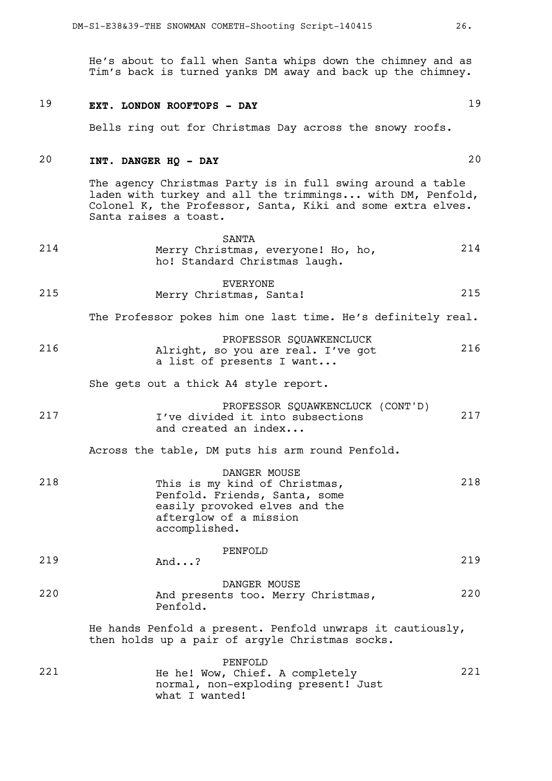He's about to fall when Santa whips down the chimney and as Tim's back is turned yanks DM away and back up the chimney.

### 19 **EXT. LONDON ROOFTOPS - DAY** 19

Bells ring out for Christmas Day across the snowy roofs.

# 20 **INT. DANGER HQ - DAY** 20

The agency Christmas Party is in full swing around a table laden with turkey and all the trimmings... with DM, Penfold, Colonel K, the Professor, Santa, Kiki and some extra elves. Santa raises a toast.

- SANTA 214 Merry Christmas, everyone! Ho, ho, 214 ho! Standard Christmas laugh.
- EVERYONE 215 Merry Christmas, Santa! 215

The Professor pokes him one last time. He's definitely real.

PROFESSOR SQUAWKENCLUCK 216 Alright, so you are real. I've got 216 a list of presents I want...

She gets out a thick A4 style report.

PROFESSOR SQUAWKENCLUCK (CONT'D) 217 1've divided it into subsections (217 and created an index...

Across the table, DM puts his arm round Penfold.

DANGER MOUSE 218 This is my kind of Christmas, 218 Penfold. Friends, Santa, some easily provoked elves and the afterglow of a mission accomplished.

|     |      | PENFOLD |     |
|-----|------|---------|-----|
| 219 | And? |         | 219 |

DANGER MOUSE 220 And presents too. Merry Christmas, 220 Penfold.

> He hands Penfold a present. Penfold unwraps it cautiously, then holds up a pair of argyle Christmas socks.

|     | PENFOLD                             |     |
|-----|-------------------------------------|-----|
| 221 | He he! Wow, Chief. A completely     | 221 |
|     | normal, non-exploding present! Just |     |
|     | what I wanted!                      |     |